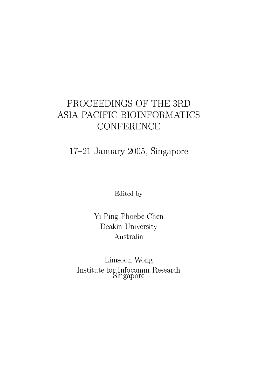## PROCEEDINGS OF THE 3RD ASIA-PACIFIC BIOINFORMATICS CONFERENCE

## 17-21 January 2005, Singapore

Edited by

Yi-Ping Phoebe Chen Deakin University Australia

Limsoon Wong  ${\rm Institute~for~Infocomm~Research} \\ {\rm Singapore}$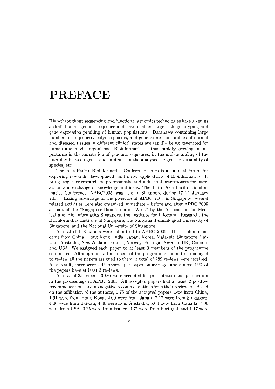# **PREFACE**

High-throughput sequencing and functional genomics technologies have given us a draft human genome sequence and have enabled large-scale genotyping and gene expression profiling of human populations. Databases containing large numbers of sequences, polymorphisms, and gene expression profiles of normal and diseased tissues in different clinical states are rapidly being generated for human and model organisms. Bioinformatics is thus rapidly growing in importance in the annotation of genomic sequences, in the understanding of the interplay between genes and proteins, in the analysis the genetic variability of species, etc.

The Asia-Pacific Bioinformatics Conference series is an annual forum for exploring research, development, and novel applications of Bioinformatics. It brings together researchers, professionals, and industrial practitioners for interaction and exchange of knowledge and ideas. The Third Asia-Pacific Bioinformatics Conference, APBC2005, was held in Singapore during 17–21 January 2005. Taking advantage of the presence of APBC 2005 in Singapore, several related activities were also organized immediately before and after APBC 2005 as part of the "Singapore Bioinformatics Week" by the Association for Medical and Bio Informatics Singapore, the Institute for Informam Research, the Bioinformatics Institute of Singapore, the Nanyang Technological University of Singapore, and the National University of Singapore.

A total of 118 papers were submitted to APBC 2005. These submissions came from China, Hong Kong, India, Japan, Korea, Malaysia, Singapore, Taiwan, Australia, New Zealand, France, Norway, Portugal, Sweden, UK, Canada, and USA. We assigned each paper to at least 3 members of the programme committee. Although not all members of the programme committee managed to review all the papers assigned to them, a total of 289 reviews were received. As a result, there were 2.45 reviews per paper on average, and almost  $45\%$  of the papers have at least 3 reviews.

A total of 35 papers (30%) were accepted for presentation and publication in the proceedings of APBC 2005. All accepted papers had at least 2 positive recommendations and no negative recommendations from their reviewers. Based on the affiliation of the authors, 1.75 of the accepted papers were from China, 1.91 were from Hong Kong, 2.00 were from Japan, 7.17 were from Singapore, 4.00 were from Taiwan, 4.00 were from Australia, 5.00 were from Canada, 7.00 were from USA, 0.25 were from France, 0.75 were from Portugal, and 1.17 were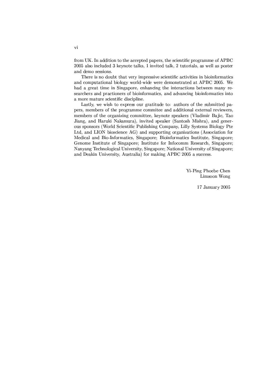from UK. In addition to the accepted papers, the scientific programme of APBC 2005 also included 3 keynote talks, 1 invited talk, 2 tutorials, as well as poster and demo sessions.

There is no doubt that very impressive scientific activities in bioinformatics and computational biology world-wide were demonstrated at APBC 2005. We had a great time in Singapore, enhancing the interactions between many researchers and practioners of bioinformatics, and advancing bioinformatics into a more mature scientific discipline.

Lastly, we wish to express our gratitude to: authors of the submitted papers, members of the programme committee and additional external reviewers. members of the organizing committee, keynote speakers (Vladimir Bajic, Tao Jiang, and Haruki Nakamura), invited speaker (Santosh Mishra), and generous sponsors (World Scientific Publishing Company, Lilly Systems Biology Pte Ltd, and LION bioscience AG) and supporting organizations (Association for Medical and Bio-Informatics, Singapore; Bioinformatics Institute, Singapore; Genome Institute of Singapore; Institute for Infocomm Research, Singapore; Nanyang Technological University, Singapore; National University of Singapore; and Deakin University, Australia) for making APBC 2005 a success.

> Yi-Ping Phoebe Chen Limsoon Wong

> > 17 January 2005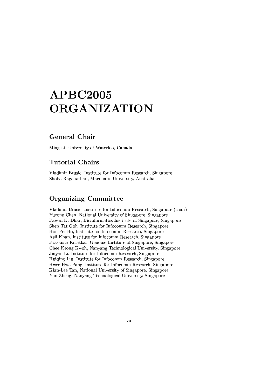# **APBC2005 ORGANIZATION**

### **General Chair**

Ming Li, University of Waterloo, Canada

### **Tutorial Chairs**

Vladimir Brusic, Institute for Infocomm Research, Singapore Shoba Raganathan, Macquarie University, Australia

### **Organizing Committee**

Vladimir Brusic, Institute for Infocomm Research, Singapore (chair) Yuzong Chen, National University of Singapore, Singapore Pawan K. Dhar, Bioinformatics Institute of Singapore, Singapore Shen Tat Goh, Institute for Infocomm Research, Singapore Hon Pei Ho, Institute for Infocomm Research, Singapore Asif Khan, Institute for Infocomm Research, Singapore Prasanna Kolatkar, Genome Institute of Singapore, Singapore Chee Keong Kwoh, Nanyang Technological University, Singapore Jinyan Li, Institute for Infocomm Research, Singapore Huiging Liu, Institute for Infocomm Research, Singapore Hwee-Hwa Pang, Institute for Infocomm Research, Singapore Kian-Lee Tan, National University of Singapore, Singapore Yun Zheng, Nanyang Technological University, Singapore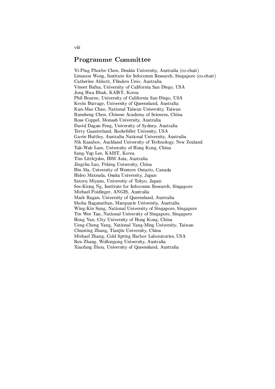### **Programme Committee**

Yi-Ping Phoebe Chen, Deakin University, Australia (co-chair) Limsoon Wong, Institute for Infocomm Research, Singapore (co-chair) Catherine Abbott, Flinders Univ, Australia Vineet Bafna, University of California San Diego, USA Jong Hwa Bhak, KAIST, Korea Phil Bourne, University of California San Diego, USA Kevin Burrage, University of Queensland, Australia Kun-Mao Chao, National Taiwan University, Taiwan Runsheng Chen, Chinese Academy of Sciences, China Ross Coppel, Monash University, Australia David Dagan Feng, University of Sydney, Australia Terry Gaasterland, Rockefeller Univesity, USA Gavin Huttley, Australia National University, Australia Nik Kasabov, Auckland University of Technology, New Zealand Tak-Wah Lam, University of Hong Kong, China Sang-Yup Lee, KAIST, Korea Tim Littlejohn, IBM Asia, Australia Jingchu Luo, Peking University, China Bin Ma. University of Western Ontario, Canada Hideo Matsuda, Osaka University, Japan Satoru Miyano, University of Tokyo, Japan See-Kiong Ng, Institute for Infocomm Research, Singapore Michael Poidinger, ANGIS, Australia Mark Ragan, University of Queensland, Australia Shoba Raganathan, Macquarie University, Australia Wing-Kin Sung, National University of Singapore, Singapore Tin Wee Tan, National University of Singapore, Singapore Hong Yan, City University of Hong Kong, China Ueng-Cheng Yang, National Yang-Ming University, Taiwan Chunting Zhang, Tianjin University, China Michael Zhang, Cold Spring Harbor Laboratories, USA Ren Zhang, Wollongong University, Australia Xiaofang Zhou, University of Queensland, Australia

viii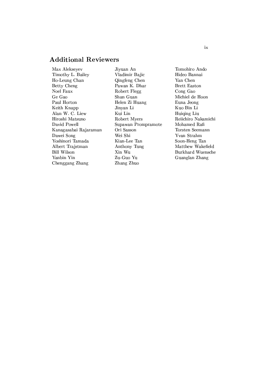### **Additional Reviewers**

Max Aleksevev Timothy L. Bailey Ho-Leung Chan Betty Cheng Noel Faux Ge Gao Paul Horton Keith Knapp Alan W. C. Liew Hiroshi Matsuno David Powell Kanagasabai Rajaraman Dawei Song Yoshinori Tamada Albert Traistman Bill Wilson Yanbin Yin Chenggang Zhang

Jiyuan An Vladimir Bajic Qingfeng Chen Pawan K. Dhar Robert Flegg Shan Guan Helen Zi Huang Jinyan Li Kui Lin Robert Myers Supawan Prompramote Ori Sasson Wei Shi Kian-Lee Tan Anthony Tung Xin Wu Zu-Guo Yu Zhang Zhuo

Tomohiro Ando Hideo Bannai Yan Chen **Brett Easton** Cong Gao Michiel de Hoon Euna Jeong Kuo Bin Li Huiqing Liu Reiichiro Nakamichi Mohamed Rafi Torsten Seemann Yvan Strahm Soon-Heng Tan Matthew Wakefield **Burkhard Wuensche** Guanglan Zhang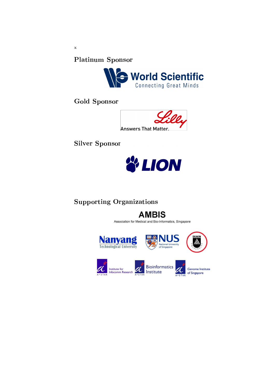**Platinum Sponsor** 



**Gold Sponsor** 



**Silver Sponsor** 



### **Supporting Organizations**

### **AMBIS**

Association for Medical and Bio-Informatics, Singapore



 $\mathbf x$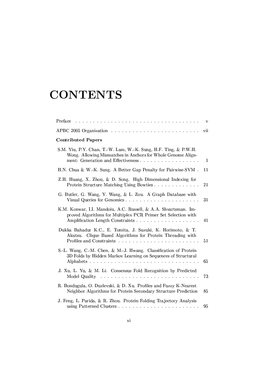# **CONTENTS**

| Preface<br>.<br>$\sim$ 100 $\pm$                                                                                                                                      | $\mathbf{V}$ |
|-----------------------------------------------------------------------------------------------------------------------------------------------------------------------|--------------|
|                                                                                                                                                                       | vii          |
| <b>Contributed Papers</b>                                                                                                                                             |              |
| S.M. Yiu, P.Y. Chan, T.-W. Lam, W.-K. Sung, H.F. Ting, & P.W.H.<br>Wong. Allowing Mismatches in Anchors for Whole Genome Align-<br>ment: Generation and Effectiveness | 1            |
| H.N. Chua & W.-K. Sung. A Better Gap Penalty for Pairwise-SVM.                                                                                                        | 11           |
| Z.H. Huang, X. Zhou, & D. Song. High Dimensional Indexing for<br>Protein Structure Matching Using Bowties                                                             | 21           |
| G. Butler, G. Wang, Y. Wang, & L. Zou. A Graph Database with                                                                                                          | 31           |
| K.M. Konwar, I.I. Mandoiu, A.C. Russell, & A.A. Shvartsman. Im-<br>proved Algorithms for Multiplex PCR Primer Set Selection with                                      | 41           |
| Dukka Bahadur K.C., E. Tomita, J. Suzuki, K. Horimoto, & T.<br>Clique Based Algorithms for Protein Threading with<br>Akutsu.                                          | 51           |
| S.-L. Wang, C.-M. Chen, & M.-J. Hwang. Classification of Protein<br>3D Folds by Hidden Markov Learning on Sequences of Structural                                     | 65           |
| J. Xu, L. Yu, & M. Li. Consensus Fold Recognition by Predicted                                                                                                        | 73           |
| R. Bondugula, O. Duzlevski, & D. Xu. Profiles and Fuzzy K-Nearest<br>Neighbor Algorithms for Protein Secondary Structure Prediction                                   | 85           |
| J. Feng, L. Parida, & R. Zhou. Protein Folding Trajectory Analysis<br>using Patterned Clusters                                                                        | 95           |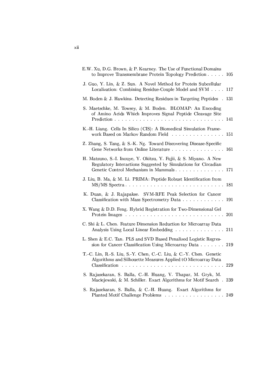| E.W. Xu, D.G. Brown, & P. Kearney. The Use of Functional Domains<br>to Improve Transmembrane Protein Topology Prediction 105                                                                                           |  |
|------------------------------------------------------------------------------------------------------------------------------------------------------------------------------------------------------------------------|--|
| J. Guo, Y. Lin, & Z. Sun. A Novel Method for Protein Subcellular<br>Localization: Combining Residue-Couple Model and SVM<br>117                                                                                        |  |
| M. Boden & J. Hawkins. Detecting Residues in Targeting Peptides . 131                                                                                                                                                  |  |
| S. Maetschke, M. Towsey, & M. Boden. BLOMAP: An Encoding<br>of Amino Acids Which Improves Signal Peptide Cleavage Site<br>Prediction<br>141<br>$\mathbf{1}$ $\mathbf{1}$ $\mathbf{1}$ $\mathbf{1}$<br>$\sim$<br>$\sim$ |  |
| K.-H. Liang. Cells In Silico (CIS): A Biomedical Simulation Frame-<br>work Based on Markov Random Field<br>.<br>151                                                                                                    |  |
| Z. Zhang, S. Tang, & S.-K. Ng. Toward Discovering Disease-Specific<br>Gene Networks from Online Literature<br>161                                                                                                      |  |
| H. Matsuno, S.-I. Inouye, Y. Okitsu, Y. Fujii, & S. Miyano. A New<br>Regulatory Interactions Suggested by Simulations for Circadian<br>Genetic Control Mechanism in Mammals<br>171                                     |  |
| J. Liu, B. Ma, & M. Li. PRIMA: Peptide Robust Identification from<br>181                                                                                                                                               |  |
| K. Duan, & J. Rajapakse. SVM-RFE Peak Selection for Cancer<br>Classification with Mass Spectrometry Data<br>191                                                                                                        |  |
| X. Wang & D.D. Feng. Hybrid Registration for Two-Dimensional Gel<br>201                                                                                                                                                |  |
| C. Shi & L. Chen. Feature Dimension Reduction for Microarray Data<br>Analysis Using Local Linear Embedding<br>211                                                                                                      |  |
| L. Shen & E.C. Tan. PLS and SVD Based Penalized Logistic Regres-<br>sion for Cancer Classification Using Microarray Data $\ldots \ldots$<br>219                                                                        |  |
| T.-C. Lin, R.-S. Liu, S.-Y. Chen, C.-C. Liu, & C.-Y. Chen. Genetic<br>Algorithms and Silhouette Measures Applied tO Microarray Data<br>Classification<br>$\ldots$ 229                                                  |  |
| S. Rajasekaran, S. Balla, C.-H. Huang, V. Thapar, M. Gryk, M.<br>Maciejewski, & M. Schiller. Exact Algorithms for Motif Search.<br>239                                                                                 |  |
| S. Rajasekaran, S. Balla, & C.-H. Huang. Exact Algorithms for<br>Planted Motif Challenge Problems<br>249                                                                                                               |  |

xii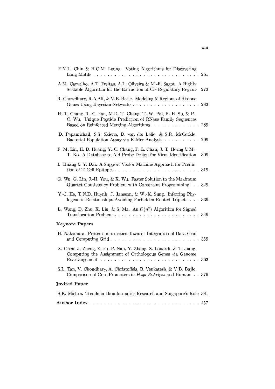| F.Y.L. Chin & H.C.M. Leung. Voting Algorithms for Discovering<br>Long Motifs $\ldots$                                                                                          | 261                |
|--------------------------------------------------------------------------------------------------------------------------------------------------------------------------------|--------------------|
| A.M. Carvalho, A.T. Freitas, A.L. Oliveira & M.-F. Sagot. A Highly<br>Scalable Algorithm for the Extraction of Cis-Regulatory Regions                                          | 273                |
| R. Chowdhary, R.A Ali, & V.B. Bajic. Modeling 5' Regions of Histone                                                                                                            | 283                |
| H.-T. Chang, T.-C. Fan, M.D.-T. Chang, T.-W. Pai, B.-H. Su, & P.-<br>C. Wu. Unique Peptide Prediction of RNase Family Sequences<br>Based on Reinforced Merging Algorithms<br>. | $\boldsymbol{289}$ |
| D. Papamichail, S.S. Skiena, D. van der Lelie, & S.R. McCorkle.<br>Bacterial Population Assay via K-Mer Analysis                                                               | 299                |
| F.-M. Lin, H.-D. Huang, Y.-C. Chang, P.-L. Chan, J.-T. Horng & M.-<br>T. Ko. A Database to Aid Probe Design for Virus Identification                                           | 309                |
| L. Huang & Y. Dai. A Support Vector Machine Approach for Predic-<br>tion of T Cell Epitopes $\dots \dots \dots \dots \dots \dots$                                              | 319                |
| G. Wu, G. Lin, J.-H. You, & X. Wu. Faster Solution to the Maximum<br>Quartet Consistency Problem with Constraint Programming<br>$\ddotsc$                                      | 329                |
| Y.-J. He, T.N.D. Huynh, J. Jansson, & W.-K. Sung. Inferring Phy-<br>logenetic Relationships Avoiding Forbidden Rooted Triplets                                                 | 339                |
| L. Wang, D. Zhu, X. Liu, & S. Ma. An $O(n^2)$ Algorithm for Signed                                                                                                             | 349                |
| <b>Keynote Papers</b>                                                                                                                                                          |                    |
| H. Nakamura. Protein Informatics Towards Integration of Data Grid                                                                                                              | $\therefore$ 359   |
| X. Chen, J. Zheng, Z. Fu, P. Nan, Y. Zhong, S. Lonardi, & T. Jiang.<br>Computing the Assignment of Orthologous Genes via Genome<br>Rearrangement<br>$\ldots$                   | 363                |
| S.L. Tan, V. Choudhary, A. Christoffels, B. Venkatesh, & V.B. Bajic.<br>Comparison of Core Promoters in Fugu Rubripes and Human 379                                            |                    |
| <b>Invited Paper</b>                                                                                                                                                           |                    |
| S.K. Mishra. Trends in Bioinformatics Research and Singapore's Role 381                                                                                                        |                    |
|                                                                                                                                                                                |                    |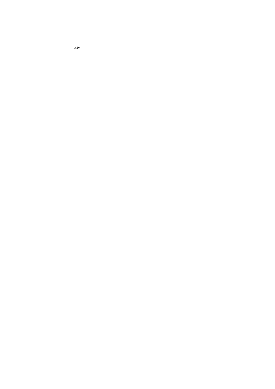xiv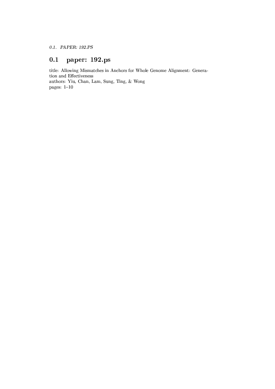0.1. PAPER: 192.PS

#### paper: 192.ps  $0.1$

title: Allowing Mismatches in Anchors for Whole Genome Alignment: Generation and Effectiveness authors: Yiu, Chan, Lam, Sung, Ting, & Wong pages:  $1-10$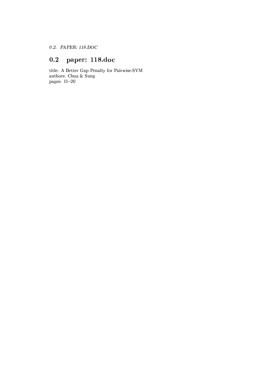0.2. PAPER: 118.DOC

#### paper: 118.doc  $0.2$

title: A Better Gap Penalty for Pairwise-SVM authors: Chua & Sung pages:  $11–20$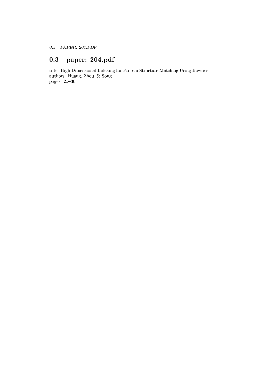0.3. PAPER: 204.PDF

#### paper: 204.pdf  $0.3$

title: High Dimensional Indexing for Protein Structure Matching Using Bowties authors: Huang, Zhou, & Song pages: 21-30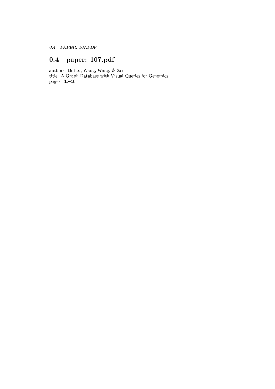### 0.4 paper: 107.pdf

authors: Butler, Wang, Wang,  $\&$  Zou title: A Graph Database with Visual Queries for Genomics pages:  $31-40$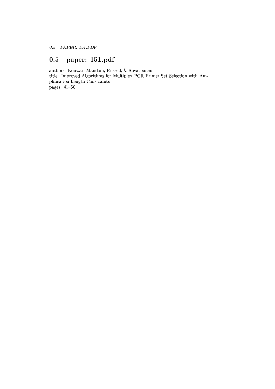0.5. PAPER: 151.PDF

#### paper: 151.pdf  $0.5$

authors: Konwar, Mandoiu, Russell, & Shvartsman title: Improved Algorithms for Multiplex PCR Primer Set Selection with Amplification Length Constraints pages: 41-50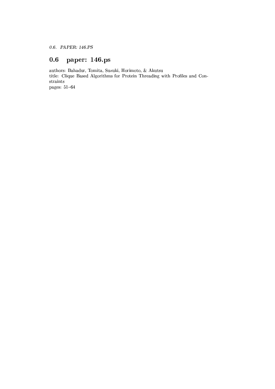0.6. PAPER: 146.PS

#### paper: 146.ps  $0.6$

authors: Bahadur, Tomita, Suzuki, Horimoto, & Akutsu title: Clique Based Algorithms for Protein Threading with Profiles and Con- $_\mathrm{strains}$ pages:  $51\text{--}64$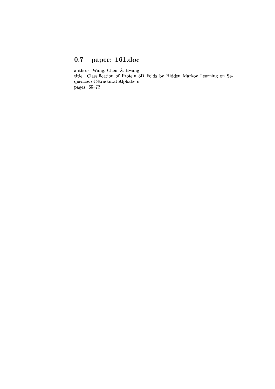#### paper: 161.doc  $0.7$

authors: Wang, Chen, & Hwang<br>title: Classification of Protein 3D Folds by Hidden Markov Learning on Se- $\,$  quences of Structural Alphabets pages:  $65\hbox{--}72$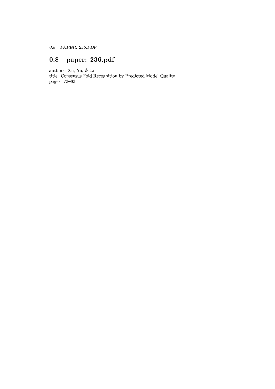#### paper: 236.pdf  $0.8$

authors: Xu, Yu, & Li title: Consensus Fold Recognition by Predicted Model Quality pages: 73-83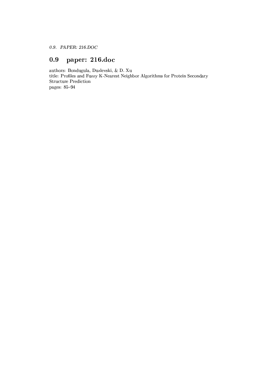$0.9.$  PAPER: 216.DOC

#### paper: 216.doc  $0.9$

authors: Bondugula, Duzlevski, & D. Xu title: Profiles and Fuzzy K-Nearest Neighbor Algorithms for Protein Secondary **Structure Prediction** pages: 85-94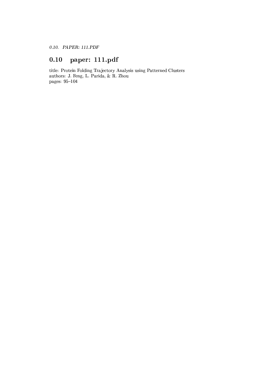0.10. PAPER: 111.PDF

#### paper: 111.pdf  $0.10$

title: Protein Folding Trajectory Analysis using Patterned Clusters authors: J. Feng, L. Parida, & R. Zhou pages: 95-104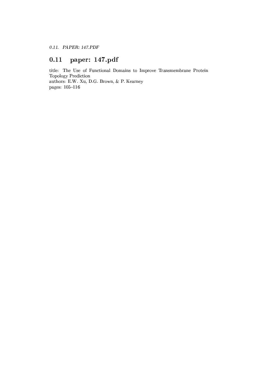#### paper: 147.pdf  $0.11$

title: The Use of Functional Domains to Improve Transmembrane Protein Topology Prediction authors: E.W. Xu, D.G. Brown, & P. Kearney pages: 105-116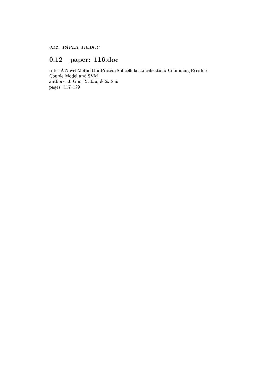0.12. PAPER: 116.DOC

#### paper: 116.doc  $0.12$

title: A Novel Method for Protein Subcellular Localization: Combining Residue-Couple Model and SVM authors: J. Guo, Y. Lin, & Z. Sun pages: 117-129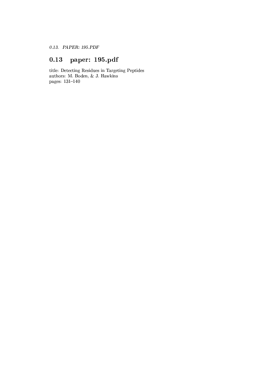#### paper: 195.pdf  $0.13$

title: Detecting Residues in Targeting Peptides authors: M. Boden,  $\&$  J. Hawkins pages: 131-140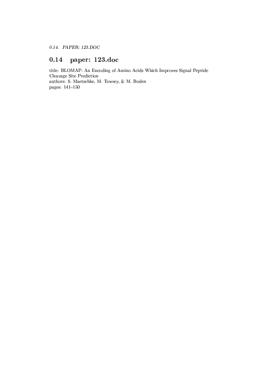0.14. PAPER: 123.DOC

#### paper: 123.doc  $0.14$

title: BLOMAP: An Encoding of Amino Acids Which Improves Signal Peptide Cleavage Site Prediction authors: S. Maetschke, M. Towsey, & M. Boden pages: 141-150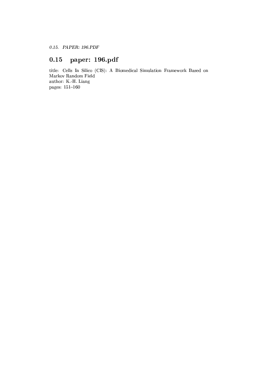#### paper: 196.pdf  $0.15$

title: Cells In Silico (CIS): A Biomedical Simulation Framework Based on Markov Random Field author: K.-H. Liang pages:  $151-160$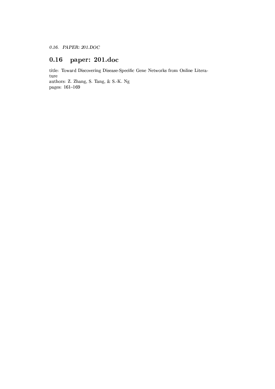0.16. PAPER: 201.DOC

#### paper: 201.doc  $0.16$

title: Toward Discovering Disease-Specific Gene Networks from Online Litera- $_{\rm{ture}}$ authors: Z. Zhang, S. Tang, & S.-K. Ng

pages: 161-169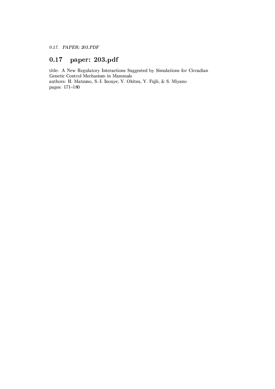0.17. PAPER:  $203.PDF$ 

#### paper: 203.pdf  $0.17$

title: A New Regulatory Interactions Suggested by Simulations for Circadian Genetic Control Mechanism in Mammals authors: H. Matsuno, S.-I. Inouye, Y. Okitsu, Y. Fujii, & S. Miyano pages: 171-180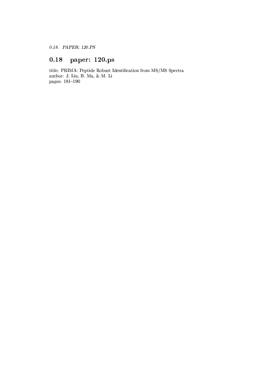0.18. PAPER: 120.PS

#### paper: 120.ps  $0.18$

title: PRIMA: Peptide Robust Identification from MS/MS Spectra author: J. Liu, B. Ma,  $\&$  M. Li pages: 181-190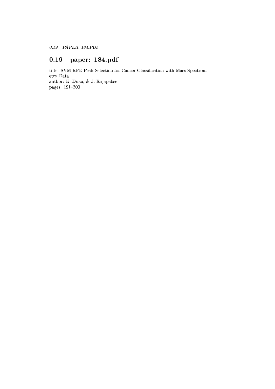#### paper: 184.pdf  $0.19$

title: SVM-RFE Peak Selection for Cancer Classification with Mass Spectrometry Data author: K. Duan, & J. Rajapakse pages: 191-200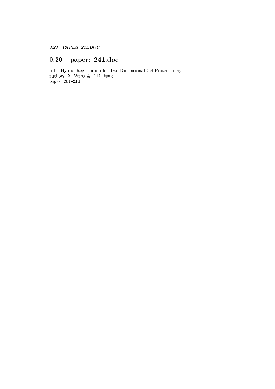$0.20.$  PAPER:  $241.$ DOC

#### paper: 241.doc  $0.20$

title: Hybrid Registration for Two-Dimensional Gel Protein Images authors: X. Wang  $\&$  D.D. Feng pages: 201-210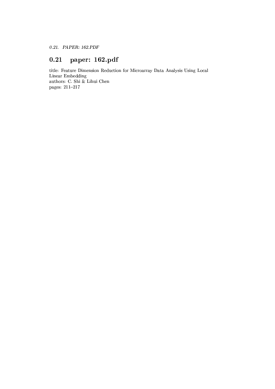$0.21.$  PAPER: 162.PDF

#### paper: 162.pdf  $0.21$

title: Feature Dimension Reduction for Microarray Data Analysis Using Local Linear Embedding authors: C. Shi  $\&$  Lihui Chen pages: 211-217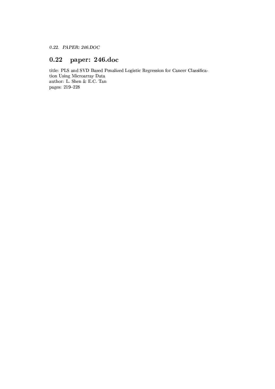0.22. PAPER: 246.DOC

#### paper: 246.doc  $0.22$

title: PLS and SVD Based Penalized Logistic Regression for Cancer Classification Using Microarray Data author: L. Shen & E.C. Tan pages: 219-228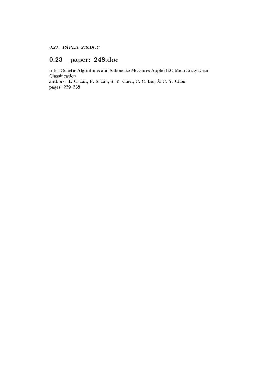0.23. PAPER: 248.DOC

#### paper: 248.doc  $0.23$

title: Genetic Algorithms and Silhouette Measures Applied tO Microarray Data Classification authors: T.-C. Lin, R.-S. Liu, S.-Y. Chen, C.-C. Liu, & C.-Y. Chen pages: 229-238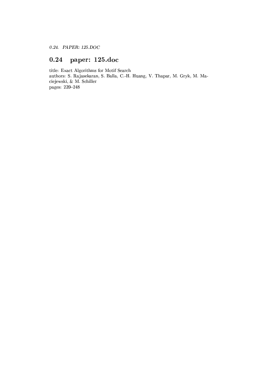0.24. PAPER:  $125.DOC$ 

#### paper: 125.doc  $0.24$

title: Exact Algorithms for Motif Search authors: S. Rajasekaran, S. Balla, C.-H. Huang, V. Thapar, M. Gryk, M. Maciejewski, & M. Schiller pages: 239-248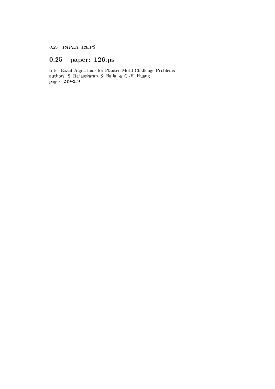$0.25.$  PAPER: 126.PS

#### paper: 126.ps  $0.25$

title: Exact Algorithms for Planted Motif Challenge Problems authors: S. Rajasekaran, S. Balla, & C.-H. Huang pages: 249-259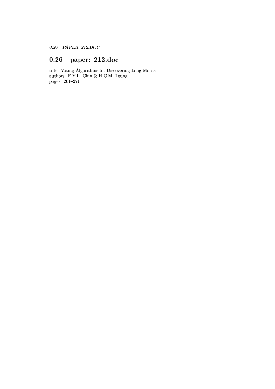0.26. PAPER: 212.DOC

#### paper: 212.doc  $0.26$

title: Voting Algorithms for Discovering Long Motifs authors: F.Y.L. Chin  $\&$  H.C.M. Leung pages: 261-271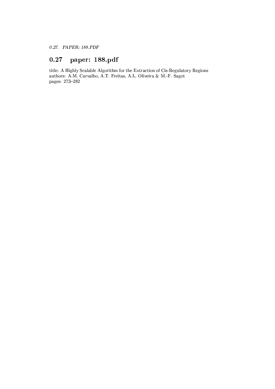0.27. PAPER:  $188.PDF$ 

#### paper: 188.pdf  $0.27$

title: A Highly Scalable Algorithm for the Extraction of Cis-Regulatory Regions authors: A.M. Carvalho, A.T. Freitas, A.L. Oliveira & M.-F. Sagot pages: 273-282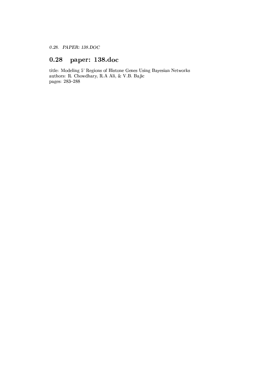0.28. PAPER:  $138.DOC$ 

#### paper: 138.doc  $0.28$

title: Modeling 5' Regions of Histone Genes Using Bayesian Networks authors: R. Chowdhary, R.A Ali, & V.B. Bajic pages: 283-288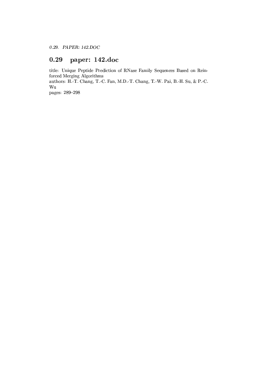0.29. PAPER:  $142.DOC$ 

#### paper: 142.doc  $0.29$

title: Unique Peptide Prediction of RNase Family Sequences Based on Reinforced Merging Algorithms authors: H.-T. Chang, T.-C. Fan, M.D.-T. Chang, T.-W. Pai, B.-H. Su, & P.-C. Wu pages: 289-298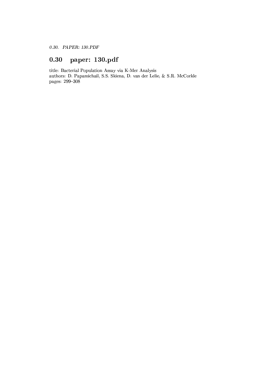$0.30. \quad PAPER: \, 130. PDF$ 

#### paper: 130.pdf 0.30

title: Bacterial Population Assay via K-Mer Analysis authors: D. Papamichail, S.S. Skiena, D. van der Lelie, & S.R. McCorkle pages: 299-308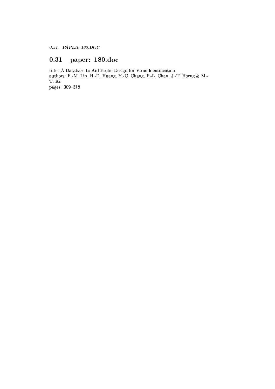0.31. PAPER:  $180.DOC$ 

#### paper: 180.doc 0.31

title: A Database to Aid Probe Design for Virus Identification authors: F.-M. Lin, H.-D. Huang, Y.-C. Chang, P.-L. Chan, J.-T. Horng & M.-T. Ko pages:  $309-318$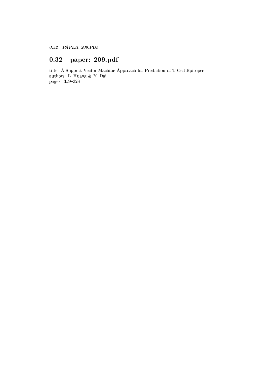0.32. PAPER: 209.PDF

#### paper: 209.pdf 0.32

title: A Support Vector Machine Approach for Prediction of T Cell Epitopes authors: L. Huang & Y. Dai pages: 319-328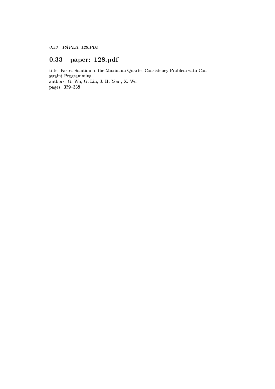0.33. PAPER:  $128.PDF$ 

#### paper: 128.pdf 0.33

title: Faster Solution to the Maximum Quartet Consistency Problem with Constraint Programming authors: G. Wu, G. Lin, J.-H. You, X. Wu pages:  $329\text{--}338$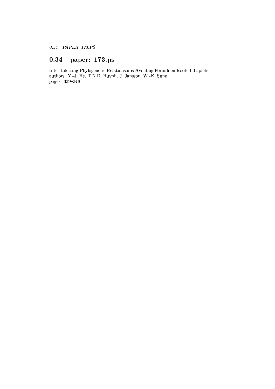0.34. PAPER: 173.PS

#### paper: 173.ps 0.34

title: Inferring Phylogenetic Relationships Avoiding Forbidden Rooted Triplets authors: Y.-J. He, T.N.D. Huynh, J. Jansson, W.-K. Sung pages: 339-348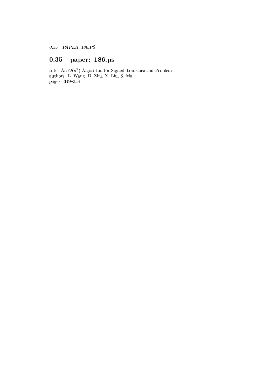$0.35.$  PAPER:  $186. \mathrm{PS}$ 

#### paper: 186.ps 0.35

title: An ${\cal O}(n^2)$ Algorithm for Signed Translocation Problem authors: L. Wang, D. Zhu, X. Liu, S. Ma pages: 349-358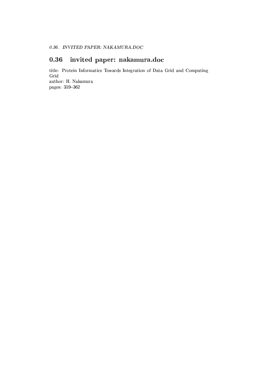#### invited paper: nakamura.doc 0.36

title: Protein Informatics Towards Integration of Data Grid and Computing Grid author: H. Nakamura pages: 359-362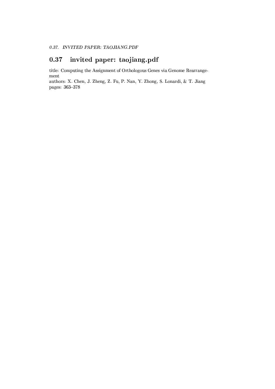#### invited paper: taojiang.pdf 0.37

title: Computing the Assignment of Orthologous Genes via Genome Rearrangement

authors: X. Chen, J. Zheng, Z. Fu, P. Nan, Y. Zhong, S. Lonardi, & T. Jiang pages: 363-378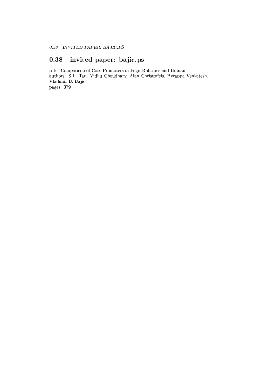#### invited paper: bajic.ps 0.38

title: Comparison of Core Promoters in Fugu Rubripes and Human authors: S.L. Tan, Vidhu Choudhary, Alan Christoffels, Byrappa Venkatesh, Vladimir B. Bajic pages: 379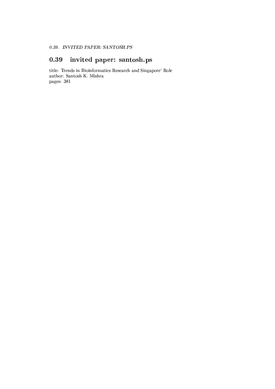0.39. INVITED PAPER: SANTOSH.PS

#### invited paper: santosh.ps 0.39

title: Trends in Bioinformatics Research and Singapore' Role author: Santosh K. Mishra pages: 381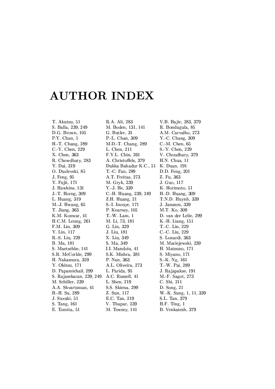# **AUTHOR INDEX**

T. Akutsu, 51 S. Balla, 239, 249 D.G. Brown, 105 P.Y. Chan, 1 H.-T. Chang, 289 C.-Y. Chen, 229 X. Chen, 363 R. Chowdhary, 283 Y. Dai, 319 O. Duzlevski, 85 J, Feng, 95 Y. Fujii, 171 J. Hawkins, 131 J.-T. Horng, 309 L. Huang, 319 M.-J. Hwang, 65 T. Jiang, 363 K.M. Konwar, 41  $H.C.M. Leung, 261$ F.M. Lin, 309 Y. Lin, 117 R.-S. Liu, 229 B. Ma, 181 S. Maetschke, 141 S.R. McCorkle, 299 H. Nakamura, 359 Y. Okitsu, 171 D. Papamichail. 299 S. Rajasekaran, 239, 249 M. Schiller, 239 A.A. Shvartsman, 41 B.-H. Su, 289 J. Suzuki, 51 S. Tang, 161 E. Tomita, 51

R.A. Ali, 283 M. Boden, 131, 141 G. Butler, 31 P.-L. Chan, 309 M.D.-T. Chang, 289 L. Chen, 211 F.Y.L. Chin, 261 A. Christoffels, 379 Dukka Bahadur K.C., 51 T.-C. Fan, 289 A.T. Freitas, 273 M. Gryk, 239 Y.-J. He, 339 C.-H. Huang, 239, 249 Z.H. Huang, 21 S.-I. Inouye, 171 P. Kearney, 105 T.-W. Lam, 1 M. Li, 73, 181 G. Lin, 329 J. Liu, 181 X. Liu, 349 S. Ma, 349 I.I. Mandoiu, 41 S.K. Mishra, 381 P. Nan, 363 A.L. Oliveira, 273 L. Parida, 95 A.C. Russell, 41 L. Shen, 219 S.S. Skiena, 299 Z. Sun, 117 E.C. Tan, 219 V. Thapar, 239 M. Towsey, 141

V.B. Bajic, 283, 379 R. Bondugula, 85 A.M. Carvalho, 273 Y.-C. Chang, 309 C.-M. Chen, 65 S.-Y. Chen, 229 V. Choudhary, 379 H.N. Chua, 11 K. Duan. 191 D.D. Feng, 201 Z. Fu, 363 J. Guo, 117 K. Horimoto, 51 H.-D. Huang, 309 T.N.D. Huynh, 339 J. Jansson, 339 M.T. Ko, 309 D. van der Lelie, 299 K.-H. Liang, 151 T.-C. Lin, 229 C.-C. Liu, 229 S. Lonardi, 363 M. Maciejewski, 239 H. Matsuno, 171 S. Miyano, 171 S.-K. Ng, 161 T.-W. Pai, 289 J. Rajapakse, 191 M.-F. Sagot, 273 C. Shi, 211  $D.$  Song, 21 W.-K. Sung, 1, 11, 339 S.L. Tan, 379  $H.F.$  Ting, 1 B. Venkatesh, 379